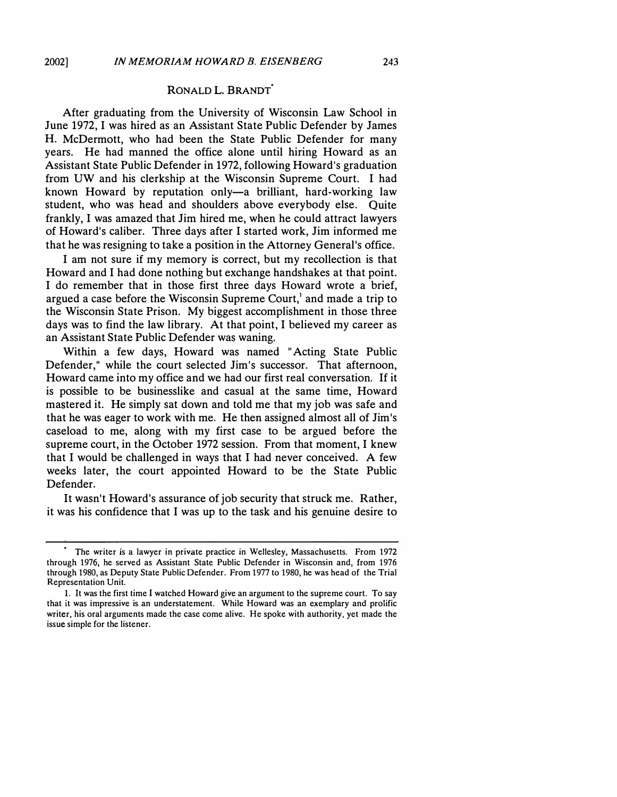### **RONALD L. BRANDT<sup>0</sup>**

After graduating from the University of Wisconsin Law School in June 1972, I was hired as an Assistant State Public Defender by James H. McDermott, who had been the State Public Defender for many years. He had manned the office alone until hiring Howard as an Assistant State Public Defender in 1972, following Howard's graduation from UW and his clerkship at the Wisconsin Supreme Court. I had known Howard by reputation only-a brilliant, hard-working law student, who was head and shoulders above everybody else. Quite frankly, I was amazed that Jim hired me, when he could attract lawyers of Howard's caliber. Three days after I started work, Jim informed me that he was resigning to take a position in the Attorney General's office.

I am not sure if my memory is correct, but my recollection is that Howard and I had done nothing but exchange handshakes at that point. I do remember that in those first three days Howard wrote a brief, argued a case before the Wisconsin Supreme Court, $\lambda$  and made a trip to the Wisconsin State Prison. My biggest accomplishment in those three days was to find the law library. At that point, I believed my career as an Assistant State Public Defender was waning.

Within a few days, Howard was named "Acting State Public Defender," while the court selected Jim's successor. That afternoon, Howard came into my office and we had our first real conversation. If it is possible to be businesslike and casual at the same time, Howard mastered it. He simply sat down and told me that my job was safe and that he was eager to work with me. He then assigned almost all of Jim's caseload to me, along with my first case to be argued before the supreme court, in the October 1972 session. From that moment, I knew that I would be challenged in ways that I had never conceived. A few weeks later, the court appointed Howard to be the State Public Defender.

It wasn't Howard's assurance of job security that struck me. Rather, it was his confidence that I was up to the task and his genuine desire to

The writer is a lawyer in private practice in Wellesley, Massachusetts. From 1972 through 1976, he served as Assistant State Public Defender in Wisconsin and, from 1976 through 1980, as Deputy State Public Defender. From 1977 to 1980, he was head of the Trial Representation Unit.

<sup>1.</sup> It was the first time I watched Howard give an argument to the supreme court. To say that it was impressive is an understatement. While Howard was an exemplary and prolific writer, his oral arguments made the case come alive. He spoke with authority, yet made the issue simple for the listener.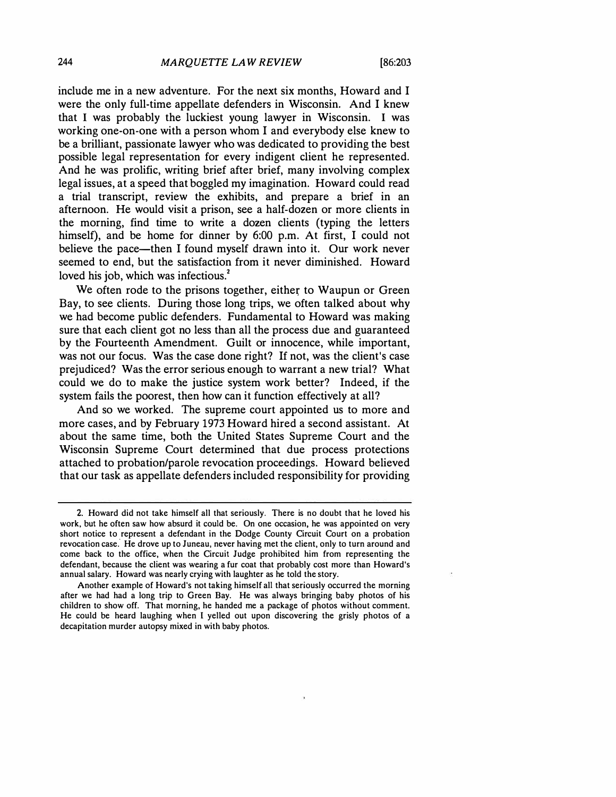include me in a new adventure. For the next six months, Howard and I were the only full-time appellate defenders in Wisconsin. And I knew that I was probably the luckiest young lawyer in Wisconsin. I was working one-on-one with a person whom I and everybody else knew to be a brilliant, passionate lawyer who was dedicated to providing the best possible legal representation for every indigent client he represented. And he was prolific, writing brief after brief, many involving complex legal issues, at a speed that boggled my imagination. Howard could read a trial transcript, review the exhibits, and prepare a brief in an afternoon. He would visit a prison, see a half-dozen or more clients in the morning, find time to write a dozen clients (typing the letters himself), and be home for dinner by 6:00 p.m. At first, I could not believe the pace-then I found myself drawn into it. Our work never seemed to end, but the satisfaction from it never diminished. Howard loved his job, which was infectious.<sup>2</sup>

We often rode to the prisons together, either to Waupun or Green Bay, to see clients. During those long trips, we often talked about why we had become public defenders. Fundamental to Howard was making sure that each client got no less than all the process due and guaranteed by the Fourteenth Amendment. Guilt or innocence, while important, was not our focus. Was the case done right? If not, was the client's case prejudiced? Was the error serious enough to warrant a new trial? What could we do to make the justice system work better? Indeed, if the system fails the poorest, then how can it function effectively at all?

And so we worked. The supreme court appointed us to more and more cases, and by February 1973 Howard hired a second assistant. At about the same time, both the United States Supreme Court and the Wisconsin Supreme Court determined that due process protections attached to probation/parole revocation proceedings. Howard believed that our task as appellate defenders included responsibility for providing

**<sup>2.</sup> Howard did not take himself all that seriously. There is no doubt that he loved his work, but he often saw how absurd it could be. On one occasion, he was appointed on very short notice to represent a defendant in the Dodge County Circuit Court on a probation revocation case.' He drove up to Juneau, never having met the client, only to turn around and come back to the office, when the Circuit Judge prohibited him from representing the defendant, because the client was wearing a fur coat that probably cost more than Howard's annual salary. Howard was nearly crying with laughter as he told the story.** 

**Another example of Howard's not taking himself all that seriously occurred the morning after we had had a long trip to Green Bay. He was always bringing baby photos of his children to show off. That morning, he handed me a package of photos without comment. He could be heard laughing when I yelled out upon discovering the grisly photos of a decapitation murder autopsy mixed in with baby photos.**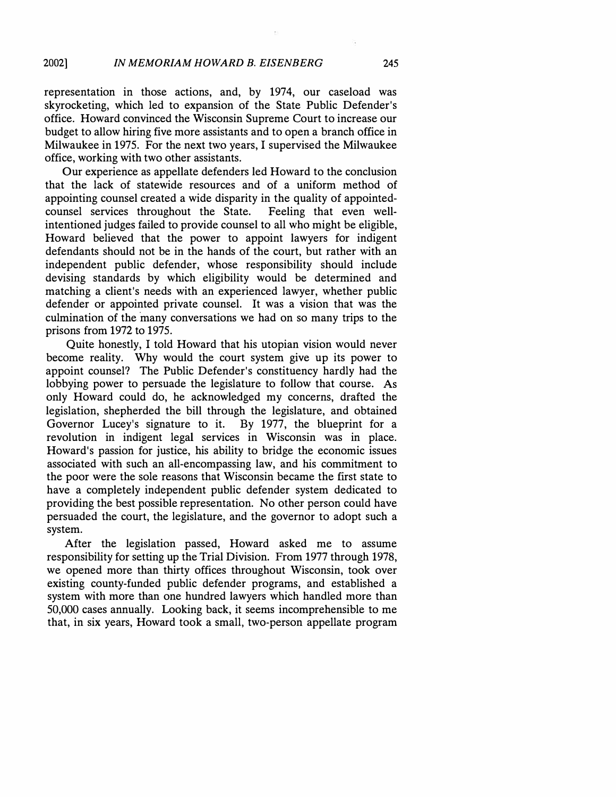representation in those actions, and, by 1974, our caseload was skyrocketing, which led to expansion of the State Public Defender's office. Howard convinced the Wisconsin Supreme Court to increase our budget to allow hiring five more assistants and to open a branch office in Milwaukee in 1975. For the next two years, I supervised the Milwaukee office, working with two other assistants.

Our experience as appellate defenders led Howard to the conclusion that the lack of statewide resources and of a uniform method of appointing counsel created a wide disparity in the quality of appointedcounsel services throughout the State. Feeling that even wellintentioned judges failed to provide counsel to all who might be eligible, Howard believed that the power to appoint lawyers for indigent defendants should not be in the hands of the court, but rather with an independent public defender, whose responsibility should include devising standards by which eligibility would be determined and matching a client's needs with an experienced lawyer, whether public defender or appointed private counsel. It was a vision that was the culmination of the many conversations we had on so many trips to the prisons from 1972 to 1975.

Quite honestly, I told Howard that his utopian vision would never become reality. Why would the court system give up its power to appoint counsel? The Public Defender's constituency hardly had the lobbying power to persuade the legislature to follow that course. As only Howard could do, he acknowledged my concerns, drafted the legislation, shepherded the bill through the legislature, and obtained Governor Lucey's signature to it. By 1977, the blueprint for a revolution in indigent legal services in Wisconsin was in place. Howard's passion for justice, his ability to bridge the economic issues associated with such an all-encompassing law, and his commitment to the poor were the sole reasons that Wisconsin became the first state to have a completely independent public defender system dedicated to providing the best possible representation. No other person could have persuaded the court, the legislature, and the governor to adopt such a system.

After the legislation passed, Howard asked me to assume responsibility for setting up the Trial Division. From 1977 through 1978, we opened more than thirty offices throughout Wisconsin, took over existing county-funded public defender programs, and established a system with more than one hundred lawyers which handled more than 50,000 cases annually. Looking back, it seems incomprehensible to me that, in six years, Howard took a small, two-person appellate program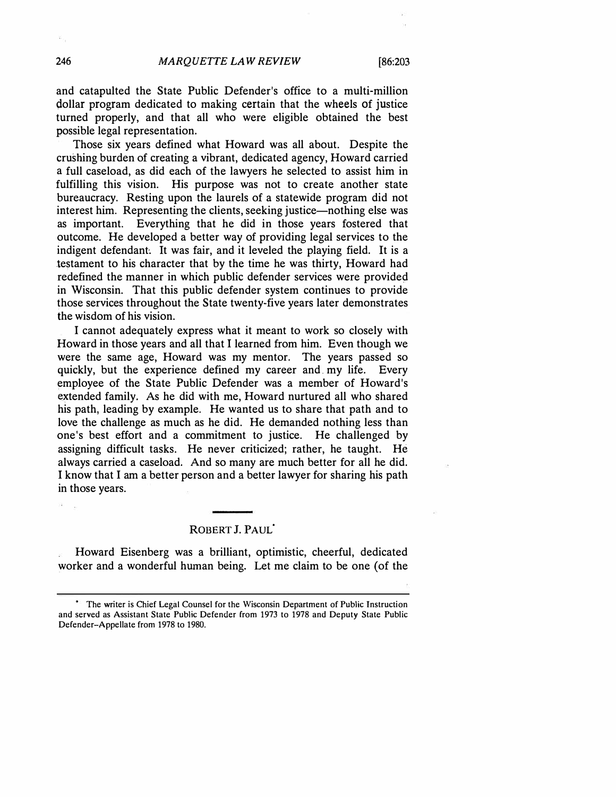and catapulted the State Public Defender's office to a multi-million dollar program dedicated to making certain that the wheels of justice turned properly, and that all who were eligible obtained the best possible legal representation.

Those six years defined what Howard was all about. Despite the crushing burden of creating a vibrant, dedicated agency, Howard carried a full caseload, as did each of the lawyers he selected to assist him in fulfilling this vision. His purpose was not to create another state bureaucracy. Resting upon the laurels of a statewide program did not interest him. Representing the clients, seeking justice—nothing else was as important. Everything that he did in those years fostered that outcome. He developed a better way of providing legal services to the indigent defendant. It was fair, and it leveled the playing field. It is a testament to his character that by the time he was thirty, Howard had redefined the manner in which public defender services were provided in Wisconsin. That this public defender system continues to provide those services throughout the State twenty-five years later demonstrates the wisdom of his vision.

I cannot adequately express what it meant to work so closely with Howard in those years and all that I learned from him. Even though we were the same age, Howard was my mentor. The years passed so quickly, but the experience defined my career and my life. Every employee of the State Public Defender was a member of Howard's extended family. As he did with me, Howard nurtured all who shared his path, leading by example. He wanted us to share that path and to love the challenge as much as he did. He demanded nothing less than one's best effort and a commitment to justice. He challenged by assigning difficult tasks. He never criticized; rather, he taught. He always carried a caseload. And so many are much better for all he did. I know that I am a better person and a better lawyer for sharing his path in those years.

#### ROBERT J. PAUL<sup>1</sup>

Howard Eisenberg was a brilliant, optimistic, cheerful, dedicated worker and a wonderful human being. Let me claim to be one (of the

w.

The writer is Chief Legal Counsel for the Wisconsin Department of Public Instruction and served as Assistant State Public Defender from 1973 to 1978 and Deputy State Public Defender-Appellate from 1978 to 1980.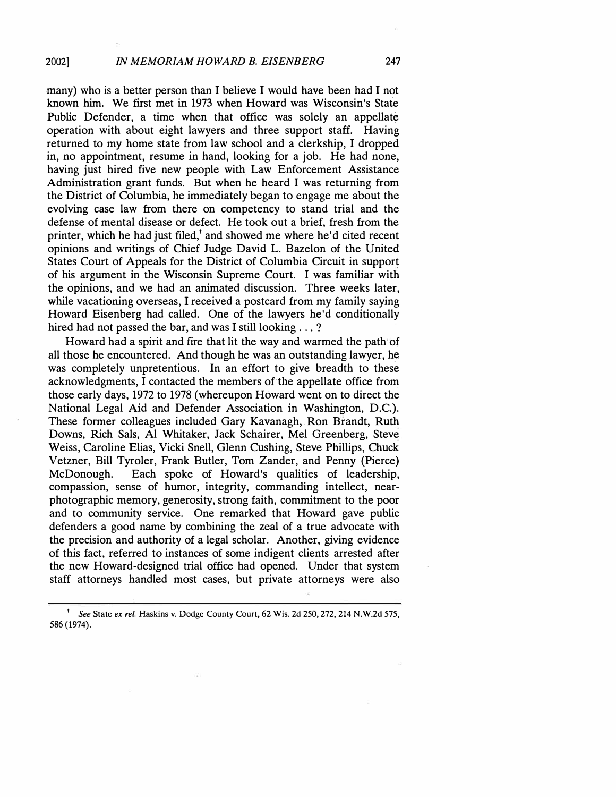many) who is a better person than I believe I would have been had I not known him. We first met in 1973 when Howard was Wisconsin's State Public Defender, a time when that office was solely an appellate operation with about eight lawyers and three support staff. Having returned to my home state from law school and a clerkship, I dropped in, no appointment, resume in hand, looking for a job. He had none, having just hired five new people with Law Enforcement Assistance Administration grant funds. But when he heard I was returning from the District of Columbia, he immediately began to engage me about the evolving case law from there on competency to stand trial and the defense of mental disease or defect. He took out a brief, fresh from the printer, which he had just filed, and showed me where he'd cited recent opinions and writings of Chief Judge David L. Bazelon of the United States Court of Appeals for the District of Columbia Circuit in support of his argument in the Wisconsin Supreme Court. I was familiar with the opinions, and we had an animated discussion. Three weeks later, while vacationing overseas, I received a postcard from my family saying Howard Eisenberg had called. One of the lawyers he'd conditionally hired had not passed the bar, and was I still looking . . . ?

Howard had a spirit and fire that lit the way and warmed the path of all those he encountered. And though he was an outstanding lawyer, he was completely unpretentious. In an effort to give breadth to these acknowledgments, I contacted the members of the appellate office from those early days, 1972 to 1978 (whereupon Howard went on to direct the National Legal Aid and Defender Association in Washington, D.C.). These former colleagues included Gary Kavanagh,. Ron Brandt, Ruth Downs, Rich Sals, Al Whitaker, Jack Schairer, Mel Greenberg, Steve Weiss, Caroline Elias, Vicki Snell, Glenn Cushing, Steve Phillips, Chuck Vetzner, Bill Tyroler, Frank Butler, Tom Zander, and Penny (Pierce) McDonough. Each spoke of Howard's qualities of leadership, compassion, sense of humor, integrity, commanding intellect, nearphotographic memory, generosity, strong faith, commitment to the poor and to community service. One remarked that Howard gave public defenders a good name by combining the zeal of a true advocate with the precision and authority of a legal scholar. Another, giving evidence of this fact, referred to instances of some indigent clients arrested after the new Howard-designed trial office had opened. Under that system staff attorneys handled most cases, but private attorneys were also

<sup>1</sup>*See* State *ex rel.* Haskins v. Dodge County Court, 62 Wis. 2d 250,272,214 N.W.2d 575, 586 (1974).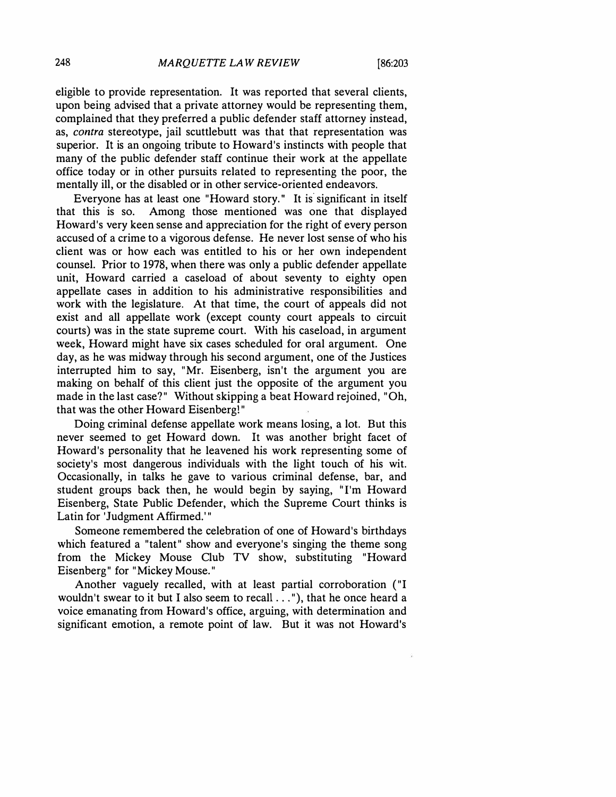eligible to provide representation. **It** was reported that several clients, upon being advised that a private attorney would be representing them, complained that they preferred a public defender staff attorney instead, as, *contra* stereotype, jail scuttlebutt was that that representation was superior. **It** is an ongoing tribute to Howard's instincts with people that many of the public defender staff continue their work at the appellate office today or in other pursuits related to representing the poor, the mentally ill, or the disabled or in other service-oriented endeavors.

Everyone has at least one "Howard story." It is significant in itself that this is so. Among those mentioned was one that displayed Howard's very keen sense and appreciation for the right of every person accused of a crime to a vigorous defense. He never lost sense of who his client was or how each was entitled to his or her own independent counsel. Prior to 1978, when there was only a public defender appellate unit, Howard carried a caseload of about seventy to eighty open appellate cases in addition to his administrative responsibilities and work with the legislature. At that time, the court of appeals did not exist and all appellate work (except county court appeals to circuit courts) was in the state supreme court. With his caseload, in argument week, Howard might have six cases scheduled for oral argument. One day, as he was midway through his second argument, one of the Justices interrupted him to say, "Mr. Eisenberg, isn't the argument you are making on behalf of this client just the opposite of the argument you made in the last case?" Without skipping a beat Howard rejoined, "Oh, that was the other Howard Eisenberg!"

Doing criminal defense appellate work means losing, a lot. But this never seemed to get Howard down. **It** was another bright facet of Howard's personality that he leavened his work representing some of society's most dangerous individuals with the light touch of his wit. Occasionally, in talks he gave to various criminal defense, bar, and student groups back then, he would begin by saying, "I'm Howard Eisenberg, State Public Defender, which the Supreme Court thinks is Latin for 'Judgment Affirmed.'"

Someone remembered the celebration of one of Howard's birthdays which featured a "talent" show and everyone's singing the theme song from the Mickey Mouse Club TV show, substituting "Howard Eisenberg" for "Mickey Mouse."

Another vaguely recalled, with at least partial corroboration ("I wouldn't swear to it but I also seem to recall ... "), that he once heard a voice emanating from Howard's office, arguing, with determination and significant emotion, a remote point of law. But it was not Howard's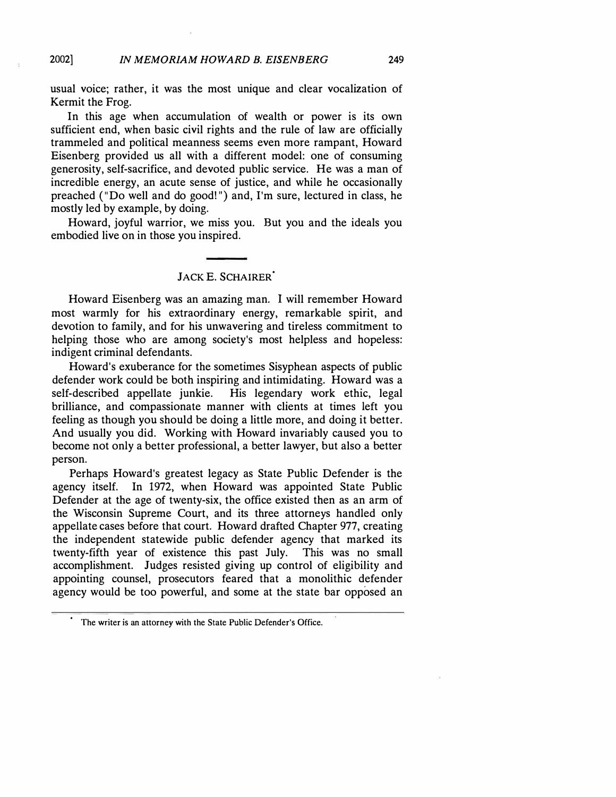usual voice; rather, it was the most unique and clear vocalization of Kermit the Frog.

In this age when accumulation of wealth or power is its own sufficient end, when basic civil rights and the rule of law are officially trammeled and political meanness seems even more rampant, Howard Eisenberg provided us all with a different model: one of consuming generosity, self-sacrifice, and devoted public service. He was a man of incredible energy, an acute sense of justice, and while he occasionally preached ("Do well and do good!") and, I'm sure, lectured in class, he mostly led by example, by doing.

Howard, joyful warrior, we miss you. But you and the ideals you embodied live on in those you inspired.

## **JACK** E. **SCHAIRER<sup>0</sup>**

Howard Eisenberg was an amazing man. I will remember Howard most warmly for his extraordinary energy, remarkable spirit, and devotion to family, and for his unwavering and tireless commitment to helping those who are among society's most helpless and hopeless: indigent criminal defendants.

Howard's exuberance for the sometimes Sisyphean aspects of public defender work could be both inspiring and intimidating. Howard was a self-described appellate junkie. His legendary work ethic, legal brilliance, and compassionate manner with clients at times left you feeling as though you should be doing a little more, and doing it better. And usually you did. Working with Howard invariably caused you to become not only a better professional, a better lawyer, but also a better person.

Perhaps Howard's greatest legacy as State Public Defender is the agency itself. In 1972, when Howard was appointed State Public Defender at the age of twenty-six, the office existed then as an arm of the Wisconsin Supreme Court, and its three attorneys handled only appellate cases before that court. Howard drafted Chapter 977, creating the independent statewide public defender agency that marked its twenty-fifth year of existence this past July. This was no small accomplishment. Judges resisted giving up control of eligibility and appointing counsel, prosecutors feared that a monolithic defender agency would be too powerful, and some at the state bar opposed an

The writer is an attorney with the State Public Defender's Office.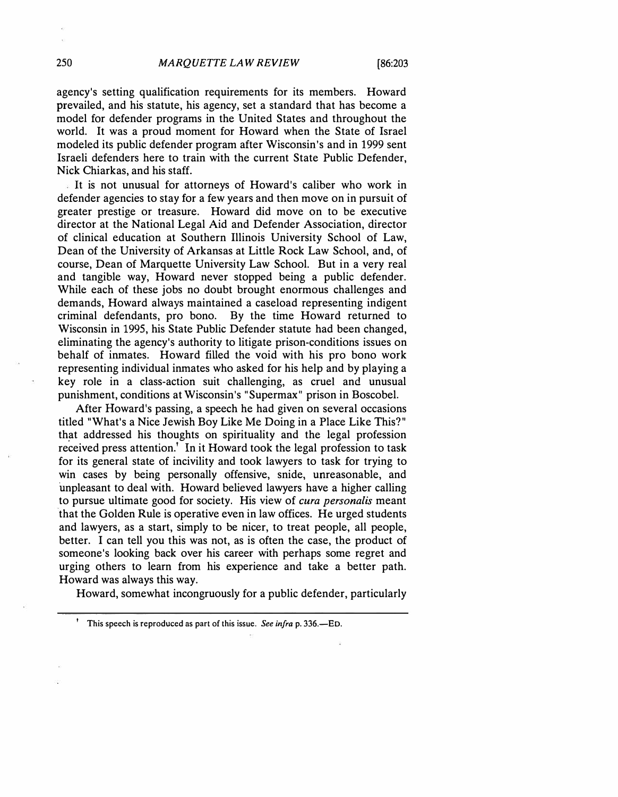agency's setting qualification requirements for its members. Howard prevailed, and his statute, his agency, set a standard that has become a model for defender programs in the United States and throughout the world. It was a proud moment for Howard when the State of Israel modeled its public defender program after Wisconsin's and in 1999 sent Israeli defenders here to train with the current State Public Defender, Nick Chiarkas, and his staff.

It is not unusual for attorneys of Howard's caliber who work in defender agencies to stay for a few years and then move on in pursuit of greater prestige or treasure. Howard did move on to be executive director at the National Legal Aid and Defender Association, director of clinical education at Southern Illinois University School of Law, Dean of the University of Arkansas at Little Rock Law School, and, of course, Dean of Marquette University Law School. But in a very real and tangible way, Howard never stopped being a public defender. While each of these jobs no doubt brought enormous challenges and demands, Howard always maintained a caseload representing indigent criminal defendants, pro bono. By the time Howard returned to Wisconsin in 1995, his State Public Defender statute had been changed, eliminating the agency's authority to litigate prison-conditions issues on behalf of inmates. Howard filled the void with his pro bono work representing individual inmates who asked for his help and by playing a key role in a class-action suit challenging, as cruel and unusual punishment, conditions at Wisconsin's "Supermax" prison in Boscobel.

After Howard's passing, a speech he had given on several occasions titled "What's a Nice Jewish Boy Like Me Doing in a Place Like This?" th�t addressed his thoughts on spirituality and the legal profession received press attention.<sup>†</sup> In it Howard took the legal profession to task for its general state of incivility and took lawyers to task for trying to win cases by being personally offensive, snide, unreasonable, and unpleasant to deal with. Howard believed lawyers have a higher calling to pursue ultimate good for society. His view of *cura persona/is* meant that the Golden Rule is operative even in law offices. He urged students and lawyers, as a start, simply to be nicer, to treat people, all people, better. I can tell you this was not, as is often the case, the product of someone's looking back over his career with perhaps some regret and urging others to learn from his experience and take a better path. Howard was always this way.

Howard, somewhat incongruously for a public defender, particularly

<sup>&</sup>lt;sup>1</sup> This speech is reproduced as part of this issue. *See infra* p. 336.—ED.